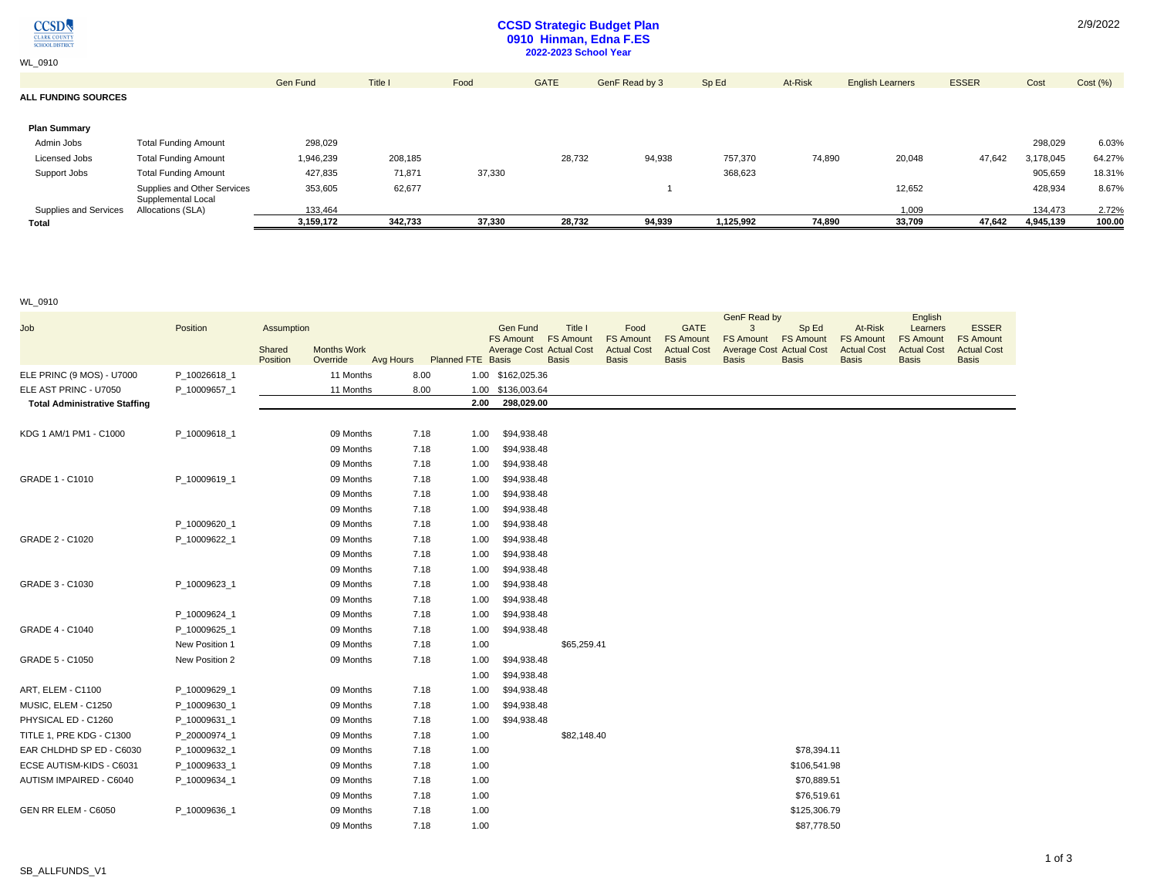

WL\_0910

# **CCSD Strategic Budget Plan 0910 Hinman, Edna F.ES 2022-2023 School Year**

| <b>Total</b>               |                                         | 3.159.172 | 342.733 | 37,330 | 28,732      | 94,939         | 1,125,992 | 74,890  | 33,709                  | 47,642       | 4,945,139 | 100.00   |
|----------------------------|-----------------------------------------|-----------|---------|--------|-------------|----------------|-----------|---------|-------------------------|--------------|-----------|----------|
| Supplies and Services      | Supplemental Local<br>Allocations (SLA) | 133,464   |         |        |             |                |           |         | 1,009                   |              | 134,473   | 2.72%    |
|                            | Supplies and Other Services             | 353,605   | 62,677  |        |             |                |           |         | 12,652                  |              | 428,934   | 8.67%    |
| Support Jobs               | <b>Total Funding Amount</b>             | 427,835   | 71,871  | 37,330 |             |                | 368,623   |         |                         |              | 905,659   | 18.31%   |
| Licensed Jobs              | <b>Total Funding Amount</b>             | 1,946,239 | 208,185 |        | 28,732      | 94,938         | 757,370   | 74,890  | 20,048                  | 47,642       | 3,178,045 | 64.27%   |
| Admin Jobs                 | <b>Total Funding Amount</b>             | 298,029   |         |        |             |                |           |         |                         |              | 298,029   | 6.03%    |
| <b>Plan Summary</b>        |                                         |           |         |        |             |                |           |         |                         |              |           |          |
| <b>ALL FUNDING SOURCES</b> |                                         |           |         |        |             |                |           |         |                         |              |           |          |
|                            |                                         | Gen Fund  | Title I | Food   | <b>GATE</b> | GenF Read by 3 | Sp Ed     | At-Risk | <b>English Learners</b> | <b>ESSER</b> | Cost      | Cost (%) |
|                            |                                         |           |         |        |             |                |           |         |                         |              |           |          |

### WL\_0910

| Job                                  | Position       | Assumption                   |           |                             |      | Gen Fund<br><b>FS Amount</b>    | Title I<br><b>FS Amount</b> | Food<br><b>FS Amount</b> | <b>GATE</b><br><b>FS Amount</b> | GenF Read by<br>3<br><b>FS Amount</b> | Sp Ed<br><b>FS Amount</b> | At-Risk<br><b>FS Amount</b> | English<br>Learners<br><b>FS Amount</b> | <b>ESSER</b><br><b>FS Amount</b> |
|--------------------------------------|----------------|------------------------------|-----------|-----------------------------|------|---------------------------------|-----------------------------|--------------------------|---------------------------------|---------------------------------------|---------------------------|-----------------------------|-----------------------------------------|----------------------------------|
|                                      |                | <b>Months Work</b><br>Shared |           |                             |      | <b>Average Cost Actual Cost</b> |                             | <b>Actual Cost</b>       | <b>Actual Cost</b>              | <b>Average Cost Actual Cost</b>       |                           | <b>Actual Cost</b>          | <b>Actual Cost</b>                      | <b>Actual Cost</b>               |
|                                      |                | Position<br>Override         |           | Avg Hours Planned FTE Basis |      |                                 | <b>Basis</b>                | <b>Basis</b>             | <b>Basis</b>                    | <b>Basis</b>                          | <b>Basis</b>              | <b>Basis</b>                | <b>Basis</b>                            | <b>Basis</b>                     |
| ELE PRINC (9 MOS) - U7000            | P_10026618_1   |                              | 11 Months | 8.00                        |      | 1.00 \$162,025.36               |                             |                          |                                 |                                       |                           |                             |                                         |                                  |
| ELE AST PRINC - U7050                | P 10009657 1   |                              | 11 Months | 8.00                        |      | 1.00 \$136,003.64               |                             |                          |                                 |                                       |                           |                             |                                         |                                  |
| <b>Total Administrative Staffing</b> |                |                              |           |                             | 2.00 | 298,029.00                      |                             |                          |                                 |                                       |                           |                             |                                         |                                  |
| KDG 1 AM/1 PM1 - C1000               | P_10009618_1   |                              | 09 Months | 7.18                        | 1.00 | \$94,938.48                     |                             |                          |                                 |                                       |                           |                             |                                         |                                  |
|                                      |                |                              | 09 Months | 7.18                        | 1.00 | \$94,938.48                     |                             |                          |                                 |                                       |                           |                             |                                         |                                  |
|                                      |                |                              | 09 Months | 7.18                        | 1.00 | \$94,938.48                     |                             |                          |                                 |                                       |                           |                             |                                         |                                  |
| GRADE 1 - C1010                      | P_10009619_1   |                              | 09 Months | 7.18                        | 1.00 | \$94,938.48                     |                             |                          |                                 |                                       |                           |                             |                                         |                                  |
|                                      |                |                              | 09 Months | 7.18                        | 1.00 | \$94,938.48                     |                             |                          |                                 |                                       |                           |                             |                                         |                                  |
|                                      |                |                              | 09 Months | 7.18                        | 1.00 | \$94,938.48                     |                             |                          |                                 |                                       |                           |                             |                                         |                                  |
|                                      | P_10009620_1   |                              | 09 Months | 7.18                        | 1.00 | \$94,938.48                     |                             |                          |                                 |                                       |                           |                             |                                         |                                  |
| GRADE 2 - C1020                      | P_10009622_1   |                              | 09 Months | 7.18                        | 1.00 | \$94,938.48                     |                             |                          |                                 |                                       |                           |                             |                                         |                                  |
|                                      |                |                              | 09 Months | 7.18                        | 1.00 | \$94,938.48                     |                             |                          |                                 |                                       |                           |                             |                                         |                                  |
|                                      |                |                              | 09 Months | 7.18                        | 1.00 | \$94,938.48                     |                             |                          |                                 |                                       |                           |                             |                                         |                                  |
| GRADE 3 - C1030                      | P_10009623_1   |                              | 09 Months | 7.18                        | 1.00 | \$94,938.48                     |                             |                          |                                 |                                       |                           |                             |                                         |                                  |
|                                      |                |                              | 09 Months | 7.18                        | 1.00 | \$94,938.48                     |                             |                          |                                 |                                       |                           |                             |                                         |                                  |
|                                      | P 10009624 1   |                              | 09 Months | 7.18                        | 1.00 | \$94,938.48                     |                             |                          |                                 |                                       |                           |                             |                                         |                                  |
| GRADE 4 - C1040                      | P 10009625 1   |                              | 09 Months | 7.18                        | 1.00 | \$94,938.48                     |                             |                          |                                 |                                       |                           |                             |                                         |                                  |
|                                      | New Position 1 |                              | 09 Months | 7.18                        | 1.00 |                                 | \$65,259.41                 |                          |                                 |                                       |                           |                             |                                         |                                  |
| GRADE 5 - C1050                      | New Position 2 |                              | 09 Months | 7.18                        | 1.00 | \$94,938.48                     |                             |                          |                                 |                                       |                           |                             |                                         |                                  |
|                                      |                |                              |           |                             | 1.00 | \$94,938.48                     |                             |                          |                                 |                                       |                           |                             |                                         |                                  |
| ART, ELEM - C1100                    | P_10009629_1   |                              | 09 Months | 7.18                        | 1.00 | \$94,938.48                     |                             |                          |                                 |                                       |                           |                             |                                         |                                  |
| MUSIC, ELEM - C1250                  | P 10009630 1   |                              | 09 Months | 7.18                        | 1.00 | \$94,938.48                     |                             |                          |                                 |                                       |                           |                             |                                         |                                  |
| PHYSICAL ED - C1260                  | P_10009631_1   |                              | 09 Months | 7.18                        | 1.00 | \$94,938.48                     |                             |                          |                                 |                                       |                           |                             |                                         |                                  |
| TITLE 1, PRE KDG - C1300             | P_20000974_1   |                              | 09 Months | 7.18                        | 1.00 |                                 | \$82,148.40                 |                          |                                 |                                       |                           |                             |                                         |                                  |
| EAR CHLDHD SP ED - C6030             | P_10009632_1   |                              | 09 Months | 7.18                        | 1.00 |                                 |                             |                          |                                 |                                       | \$78,394.11               |                             |                                         |                                  |
| ECSE AUTISM-KIDS - C6031             | P_10009633_1   |                              | 09 Months | 7.18                        | 1.00 |                                 |                             |                          |                                 |                                       | \$106,541.98              |                             |                                         |                                  |
| AUTISM IMPAIRED - C6040              | P 10009634 1   |                              | 09 Months | 7.18                        | 1.00 |                                 |                             |                          |                                 |                                       | \$70,889.51               |                             |                                         |                                  |
|                                      |                |                              | 09 Months | 7.18                        | 1.00 |                                 |                             |                          |                                 |                                       | \$76,519.61               |                             |                                         |                                  |
| GEN RR ELEM - C6050                  | P 10009636 1   |                              | 09 Months | 7.18                        | 1.00 |                                 |                             |                          |                                 |                                       | \$125,306.79              |                             |                                         |                                  |
|                                      |                |                              | 09 Months | 7.18                        | 1.00 |                                 |                             |                          |                                 |                                       | \$87,778.50               |                             |                                         |                                  |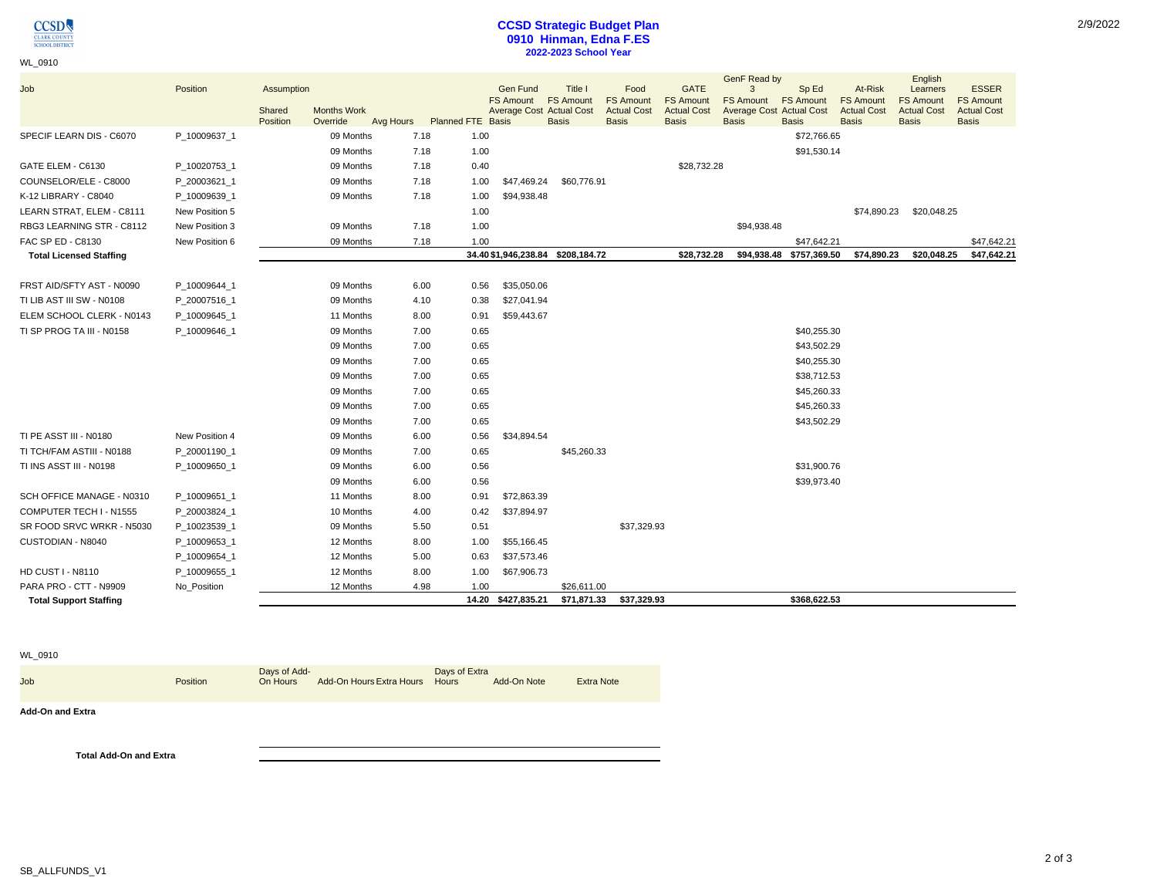

WL\_0910

## **CCSD Strategic Budget Plan 0910 Hinman, Edna F.ES 2022-2023 School Year**

| Job                            | Position       | Assumption         |                                |           |                          | <b>Gen Fund</b><br><b>FS Amount</b> | Title I<br><b>FS Amount</b>       | Food<br><b>FS Amount</b>           | <b>GATE</b><br><b>FS Amount</b>    | GenF Read by<br>3<br><b>FS Amount</b>           | Sp Ed<br><b>FS Amount</b> | At-Risk<br><b>FS Amount</b>        | English<br>Learners<br><b>FS Amount</b> | <b>ESSER</b><br><b>FS Amount</b>   |
|--------------------------------|----------------|--------------------|--------------------------------|-----------|--------------------------|-------------------------------------|-----------------------------------|------------------------------------|------------------------------------|-------------------------------------------------|---------------------------|------------------------------------|-----------------------------------------|------------------------------------|
|                                |                | Shared<br>Position | <b>Months Work</b><br>Override | Avg Hours | <b>Planned FTE Basis</b> | <b>Average Cost Actual Cost</b>     | <b>Basis</b>                      | <b>Actual Cost</b><br><b>Basis</b> | <b>Actual Cost</b><br><b>Basis</b> | <b>Average Cost Actual Cost</b><br><b>Basis</b> | <b>Basis</b>              | <b>Actual Cost</b><br><b>Basis</b> | <b>Actual Cost</b><br><b>Basis</b>      | <b>Actual Cost</b><br><b>Basis</b> |
| SPECIF LEARN DIS - C6070       | P 10009637 1   |                    | 09 Months                      | 7.18      | 1.00                     |                                     |                                   |                                    |                                    |                                                 | \$72,766.65               |                                    |                                         |                                    |
|                                |                |                    | 09 Months                      | 7.18      | 1.00                     |                                     |                                   |                                    |                                    |                                                 | \$91,530.14               |                                    |                                         |                                    |
| GATE ELEM - C6130              | P 10020753 1   |                    | 09 Months                      | 7.18      | 0.40                     |                                     |                                   |                                    | \$28,732.28                        |                                                 |                           |                                    |                                         |                                    |
| COUNSELOR/ELE - C8000          | P_20003621_1   |                    | 09 Months                      | 7.18      | 1.00                     | \$47,469.24                         | \$60,776.91                       |                                    |                                    |                                                 |                           |                                    |                                         |                                    |
| K-12 LIBRARY - C8040           | P_10009639_1   |                    | 09 Months                      | 7.18      | 1.00                     | \$94,938.48                         |                                   |                                    |                                    |                                                 |                           |                                    |                                         |                                    |
| LEARN STRAT, ELEM - C8111      | New Position 5 |                    |                                |           | 1.00                     |                                     |                                   |                                    |                                    |                                                 |                           | \$74,890.23                        | \$20,048.25                             |                                    |
| RBG3 LEARNING STR - C8112      | New Position 3 |                    | 09 Months                      | 7.18      | 1.00                     |                                     |                                   |                                    |                                    | \$94,938.48                                     |                           |                                    |                                         |                                    |
| FAC SP ED - C8130              | New Position 6 |                    | 09 Months                      | 7.18      | 1.00                     |                                     |                                   |                                    |                                    |                                                 | \$47.642.21               |                                    |                                         | \$47,642.21                        |
| <b>Total Licensed Staffing</b> |                |                    |                                |           |                          |                                     | 34.40 \$1,946,238.84 \$208,184.72 |                                    | \$28,732.28                        |                                                 | \$94,938.48 \$757,369.50  | \$74,890.23                        | \$20,048.25                             | \$47,642.21                        |
|                                |                |                    |                                |           |                          |                                     |                                   |                                    |                                    |                                                 |                           |                                    |                                         |                                    |
| FRST AID/SFTY AST - N0090      | P_10009644_1   |                    | 09 Months                      | 6.00      | 0.56                     | \$35,050.06                         |                                   |                                    |                                    |                                                 |                           |                                    |                                         |                                    |
| TI LIB AST III SW - N0108      | P 20007516 1   |                    | 09 Months                      | 4.10      | 0.38                     | \$27,041.94                         |                                   |                                    |                                    |                                                 |                           |                                    |                                         |                                    |
| ELEM SCHOOL CLERK - N0143      | P_10009645_1   |                    | 11 Months                      | 8.00      | 0.91                     | \$59,443.67                         |                                   |                                    |                                    |                                                 |                           |                                    |                                         |                                    |
| TI SP PROG TA III - N0158      | P 10009646 1   |                    | 09 Months                      | 7.00      | 0.65                     |                                     |                                   |                                    |                                    |                                                 | \$40,255.30               |                                    |                                         |                                    |
|                                |                |                    | 09 Months                      | 7.00      | 0.65                     |                                     |                                   |                                    |                                    |                                                 | \$43,502.29               |                                    |                                         |                                    |
|                                |                |                    | 09 Months                      | 7.00      | 0.65                     |                                     |                                   |                                    |                                    |                                                 | \$40,255.30               |                                    |                                         |                                    |
|                                |                |                    | 09 Months                      | 7.00      | 0.65                     |                                     |                                   |                                    |                                    |                                                 | \$38,712.53               |                                    |                                         |                                    |
|                                |                |                    | 09 Months                      | 7.00      | 0.65                     |                                     |                                   |                                    |                                    |                                                 | \$45,260.33               |                                    |                                         |                                    |
|                                |                |                    | 09 Months                      | 7.00      | 0.65                     |                                     |                                   |                                    |                                    |                                                 | \$45,260.33               |                                    |                                         |                                    |
|                                |                |                    | 09 Months                      | 7.00      | 0.65                     |                                     |                                   |                                    |                                    |                                                 | \$43,502.29               |                                    |                                         |                                    |
| TI PE ASST III - N0180         | New Position 4 |                    | 09 Months                      | 6.00      | 0.56                     | \$34,894.54                         |                                   |                                    |                                    |                                                 |                           |                                    |                                         |                                    |
| TI TCH/FAM ASTIII - N0188      | P_20001190_1   |                    | 09 Months                      | 7.00      | 0.65                     |                                     | \$45,260.33                       |                                    |                                    |                                                 |                           |                                    |                                         |                                    |
| TI INS ASST III - N0198        | P_10009650_1   |                    | 09 Months                      | 6.00      | 0.56                     |                                     |                                   |                                    |                                    |                                                 | \$31,900.76               |                                    |                                         |                                    |
|                                |                |                    | 09 Months                      | 6.00      | 0.56                     |                                     |                                   |                                    |                                    |                                                 | \$39,973.40               |                                    |                                         |                                    |
| SCH OFFICE MANAGE - N0310      | P_10009651_1   |                    | 11 Months                      | 8.00      | 0.91                     | \$72,863.39                         |                                   |                                    |                                    |                                                 |                           |                                    |                                         |                                    |
| COMPUTER TECH I - N1555        | P 20003824 1   |                    | 10 Months                      | 4.00      | 0.42                     | \$37,894.97                         |                                   |                                    |                                    |                                                 |                           |                                    |                                         |                                    |
| SR FOOD SRVC WRKR - N5030      | P_10023539_1   |                    | 09 Months                      | 5.50      | 0.51                     |                                     |                                   | \$37,329.93                        |                                    |                                                 |                           |                                    |                                         |                                    |
| CUSTODIAN - N8040              | P_10009653_1   |                    | 12 Months                      | 8.00      | 1.00                     | \$55,166.45                         |                                   |                                    |                                    |                                                 |                           |                                    |                                         |                                    |
|                                | P_10009654_1   |                    | 12 Months                      | 5.00      | 0.63                     | \$37,573.46                         |                                   |                                    |                                    |                                                 |                           |                                    |                                         |                                    |
| <b>HD CUST I - N8110</b>       | P_10009655_1   |                    | 12 Months                      | 8.00      | 1.00                     | \$67,906.73                         |                                   |                                    |                                    |                                                 |                           |                                    |                                         |                                    |
| PARA PRO - CTT - N9909         | No Position    |                    | 12 Months                      | 4.98      | 1.00                     |                                     | \$26,611.00                       |                                    |                                    |                                                 |                           |                                    |                                         |                                    |
| <b>Total Support Staffing</b>  |                |                    |                                |           |                          | 14.20 \$427,835.21                  | \$71,871.33                       | \$37,329.93                        |                                    |                                                 | \$368,622.53              |                                    |                                         |                                    |

WL\_0910

Job Position Days of Add-On Hours Add-On Hours Extra Hours Days of Extra Add-On Note Extra Note

**Add-On and Extra**

**Total Add-On and Extra**